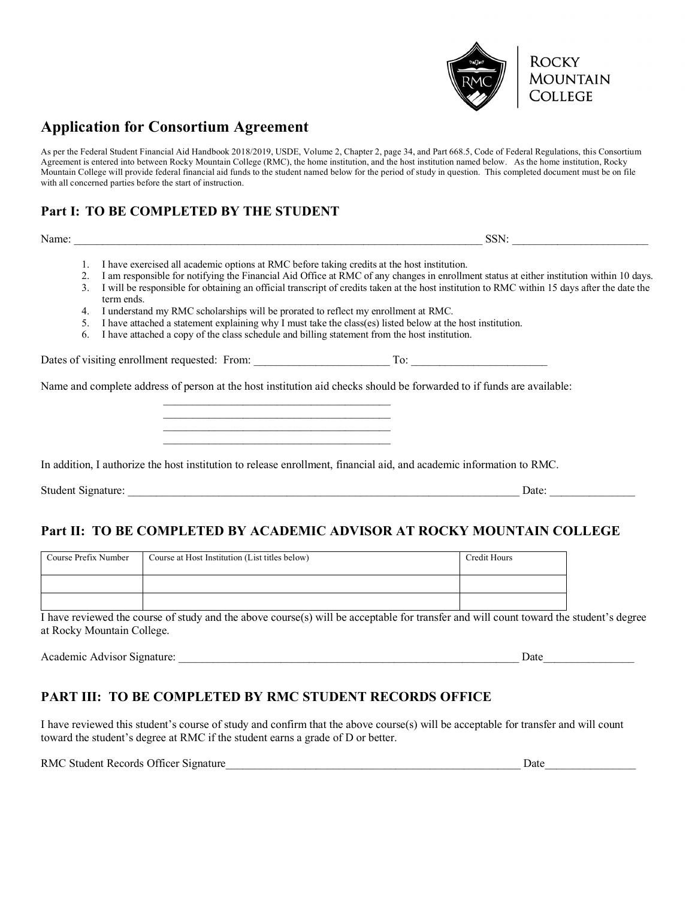

# **Application for Consortium Agreement**

As per the Federal Student Financial Aid Handbook 2018/2019, USDE, Volume 2, Chapter 2, page 34, and Part 668.5, Code of Federal Regulations, this Consortium Agreement is entered into between Rocky Mountain College (RMC), the home institution, and the host institution named below. As the home institution, Rocky Mountain College will provide federal financial aid funds to the student named below for the period of study in question. This completed document must be on file with all concerned parties before the start of instruction.

## **Part I: TO BE COMPLETED BY THE STUDENT**

Name:  $\Box$ 

- 1. I have exercised all academic options at RMC before taking credits at the host institution.
- 2. I am responsible for notifying the Financial Aid Office at RMC of any changes in enrollment status at either institution within 10 days. 3. I will be responsible for obtaining an official transcript of credits taken at the host institution to RMC within 15 days after the date the
- term ends.
- 4. I understand my RMC scholarships will be prorated to reflect my enrollment at RMC.
- 5. I have attached a statement explaining why I must take the class(es) listed below at the host institution.
- 6. I have attached a copy of the class schedule and billing statement from the host institution.

 $\mathcal{L}_\text{max}$  and  $\mathcal{L}_\text{max}$  and  $\mathcal{L}_\text{max}$  and  $\mathcal{L}_\text{max}$  $\mathcal{L}_\text{max}$ 

 $\mathcal{L}_\text{max}$  and  $\mathcal{L}_\text{max}$  and  $\mathcal{L}_\text{max}$  and  $\mathcal{L}_\text{max}$ 

Dates of visiting enrollment requested: From: \_\_\_\_\_\_\_\_\_\_\_\_\_\_\_\_\_\_\_\_\_\_\_\_ To: \_\_\_\_\_\_\_\_\_\_\_\_\_\_\_\_\_\_\_\_\_\_\_\_

Name and complete address of person at the host institution aid checks should be forwarded to if funds are available:

|  |  |  |  |  |  | In addition, I authorize the host institution to release enrollment, financial aid, and academic information to RMC. |
|--|--|--|--|--|--|----------------------------------------------------------------------------------------------------------------------|
|--|--|--|--|--|--|----------------------------------------------------------------------------------------------------------------------|

Student Signature: <br>
Date:

### **Part II: TO BE COMPLETED BY ACADEMIC ADVISOR AT ROCKY MOUNTAIN COLLEGE**

| Course Prefix Number | Course at Host Institution (List titles below) | Credit Hours |
|----------------------|------------------------------------------------|--------------|
|                      |                                                |              |
|                      |                                                |              |

I have reviewed the course of study and the above course(s) will be acceptable for transfer and will count toward the student's degree at Rocky Mountain College.

Academic Advisor Signature: \_\_\_\_\_\_\_\_\_\_\_\_\_\_\_\_\_\_\_\_\_\_\_\_\_\_\_\_\_\_\_\_\_\_\_\_\_\_\_\_\_\_\_\_\_\_\_\_\_\_\_\_\_\_\_\_\_\_\_\_ Date\_\_\_\_\_\_\_\_\_\_\_\_\_\_\_\_

### **PART III: TO BE COMPLETED BY RMC STUDENT RECORDS OFFICE**

I have reviewed this student's course of study and confirm that the above course(s) will be acceptable for transfer and will count toward the student's degree at RMC if the student earns a grade of D or better.

RMC Student Records Officer Signature\_\_\_\_\_\_\_\_\_\_\_\_\_\_\_\_\_\_\_\_\_\_\_\_\_\_\_\_\_\_\_\_\_\_\_\_\_\_\_\_\_\_\_\_\_\_\_\_\_\_\_\_ Date\_\_\_\_\_\_\_\_\_\_\_\_\_\_\_\_